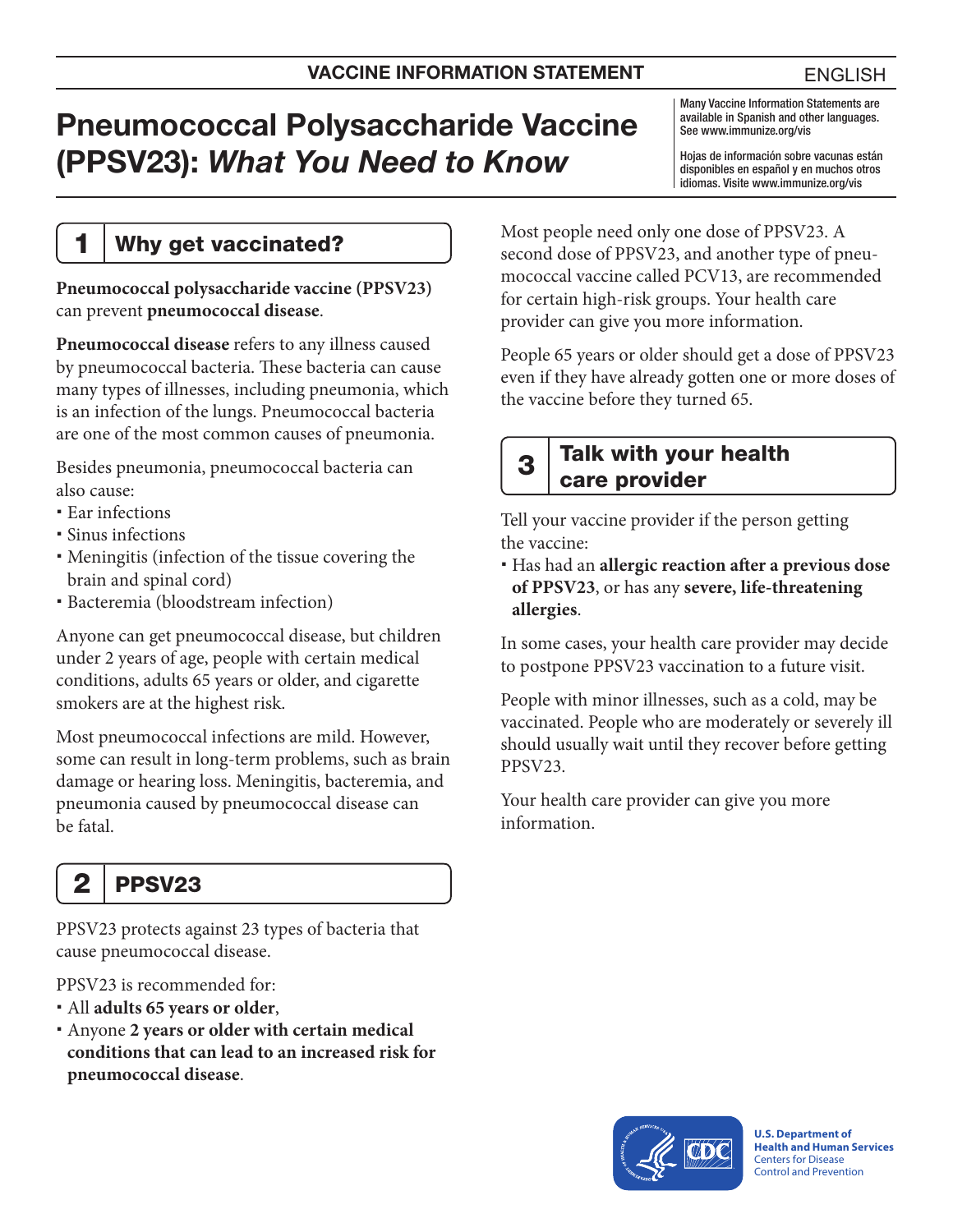# Pneumococcal Polysaccharide Vaccine (PPSV23): *What You Need to Know*

Many Vaccine Information Statements are available in Spanish and other languages. See [www.immunize.org/vis](http://www.immunize.org/vis)

Hojas de información sobre vacunas están disponibles en español y en muchos otros idiomas. Visite [www.immunize.org/vis](http://www.immunize.org/vis)

#### 1 | Why get vaccinated?

**Pneumococcal polysaccharide vaccine (PPSV23)**  can prevent **pneumococcal disease**.

**Pneumococcal disease** refers to any illness caused by pneumococcal bacteria. These bacteria can cause many types of illnesses, including pneumonia, which is an infection of the lungs. Pneumococcal bacteria are one of the most common causes of pneumonia.

Besides pneumonia, pneumococcal bacteria can also cause:

- Ear infections
- Sinus infections
- Meningitis (infection of the tissue covering the brain and spinal cord)
- Bacteremia (bloodstream infection)

Anyone can get pneumococcal disease, but children under 2 years of age, people with certain medical conditions, adults 65 years or older, and cigarette smokers are at the highest risk.

Most pneumococcal infections are mild. However, some can result in long-term problems, such as brain damage or hearing loss. Meningitis, bacteremia, and pneumonia caused by pneumococcal disease can be fatal.

## $2$  | PPSV23

PPSV23 protects against 23 types of bacteria that cause pneumococcal disease.

PPSV23 is recommended for:

- All **adults 65 years or older**,
- Anyone **2 years or older with certain medical conditions that can lead to an increased risk for pneumococcal disease**.

Most people need only one dose of PPSV23. A second dose of PPSV23, and another type of pneumococcal vaccine called PCV13, are recommended for certain high-risk groups. Your health care provider can give you more information.

People 65 years or older should get a dose of PPSV23 even if they have already gotten one or more doses of the vaccine before they turned 65.

#### $3$  Talk with your health care provider

Tell your vaccine provider if the person getting the vaccine:

 Has had an **allergic reaction after a previous dose of PPSV23**, or has any **severe, life-threatening allergies**.

In some cases, your health care provider may decide to postpone PPSV23 vaccination to a future visit.

People with minor illnesses, such as a cold, may be vaccinated. People who are moderately or severely ill should usually wait until they recover before getting PPSV23.

Your health care provider can give you more information.



**U.S. Department of Health and Human Services**  Centers for Disease Control and Prevention